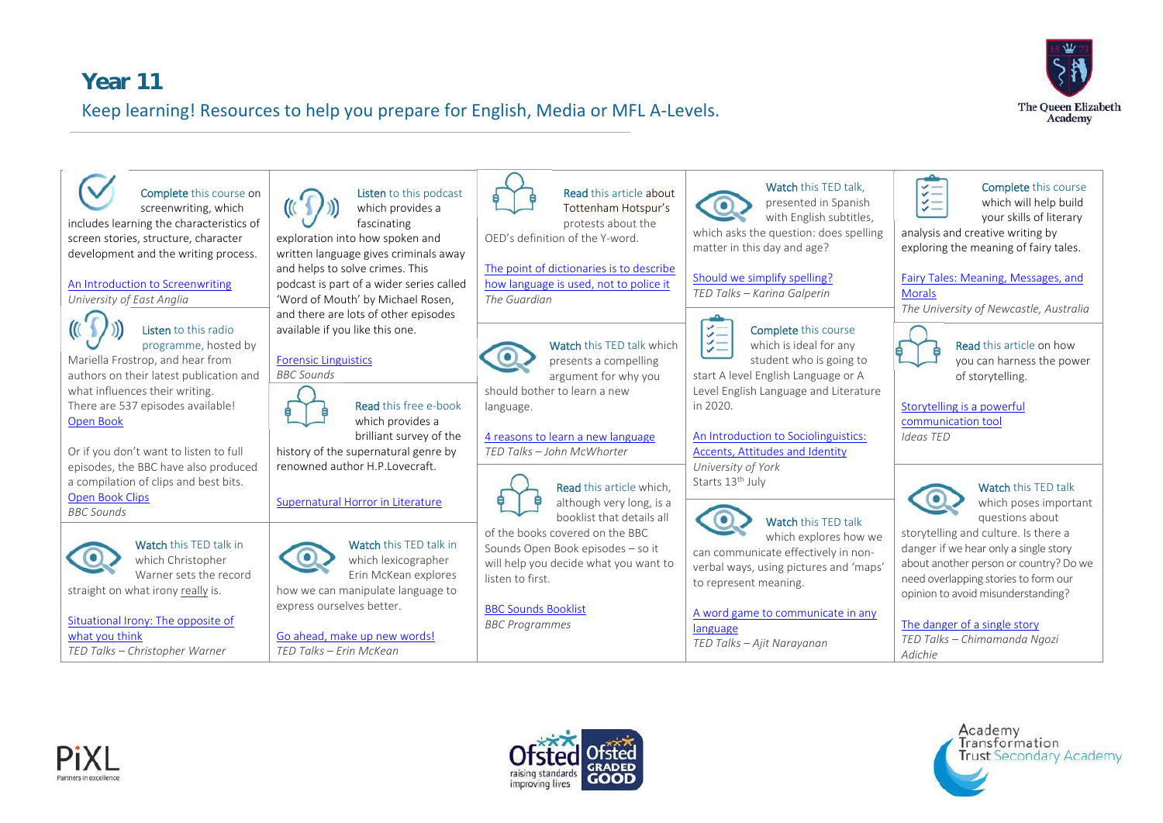## **Year 11** Keep learning! Resources to help you prepare for English, Media or MFL A‐Levels.









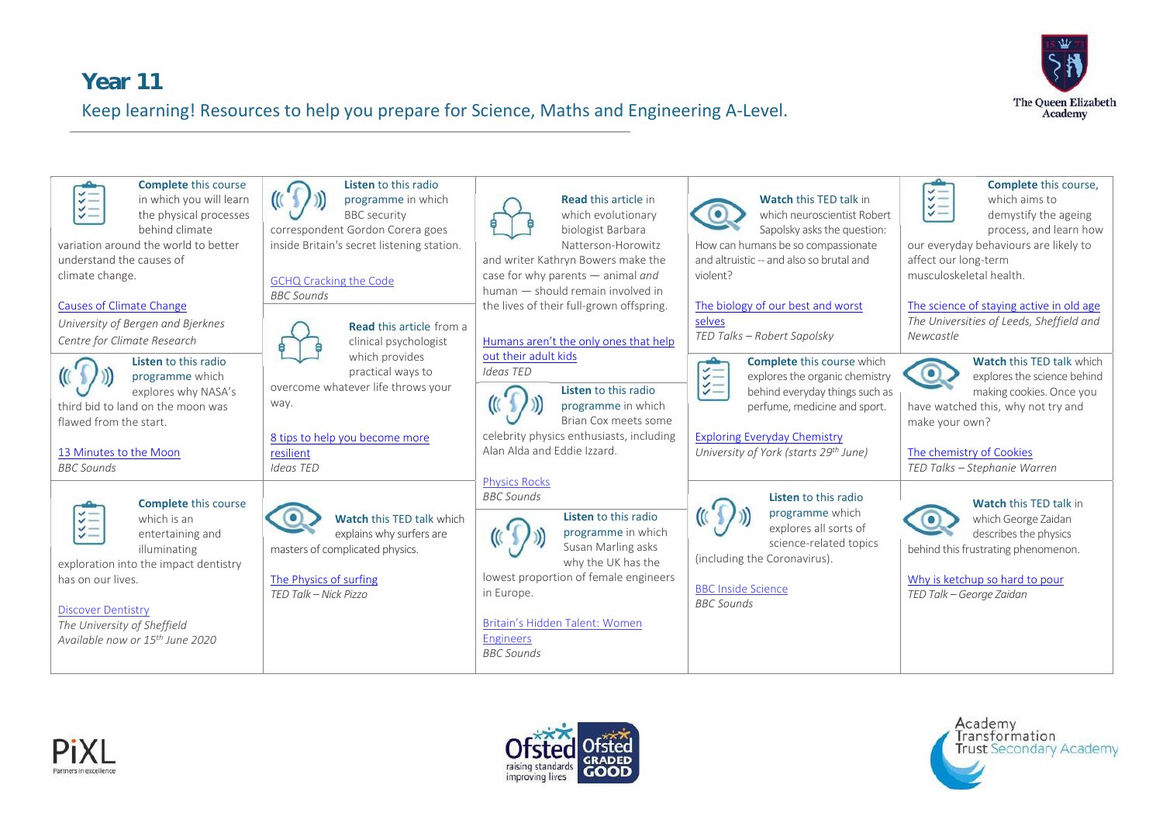# **Year 11** Keep learning! Resources to help you prepare for Science, Maths and Engineering A‐Level.









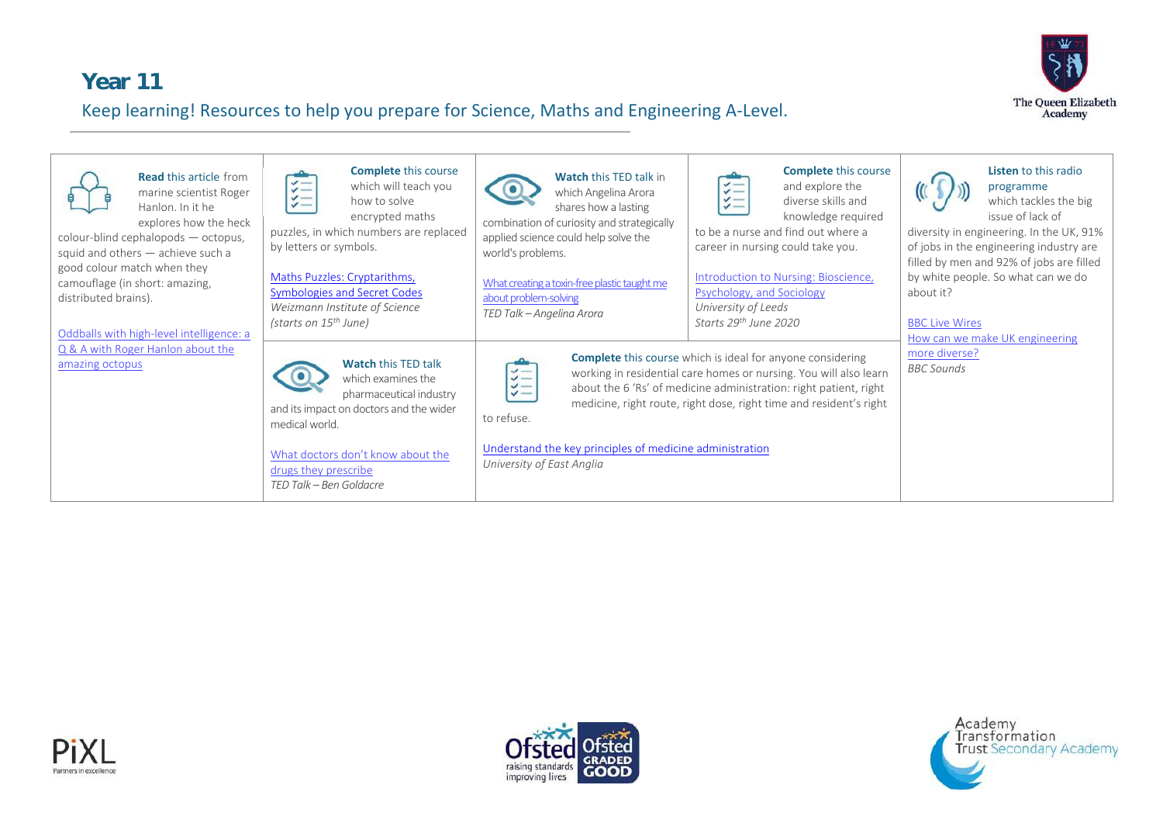

#### **Year 11**  Keep learning! Resources to help you prepare for Science, Maths and Engineering A‐Level.

| <b>Read this article from</b><br>marine scientist Roger<br>Hanlon. In it he<br>explores how the heck<br>colour-blind cephalopods - octopus,<br>squid and others - achieve such a<br>good colour match when they<br>camouflage (in short: amazing,<br>distributed brains).<br>Oddballs with high-level intelligence: a<br>Q & A with Roger Hanlon about the<br>amazing octopus | <b>Complete</b> this course<br>$\checkmark$<br>which will teach you<br>$\checkmark$ $-$<br>$\checkmark$<br>how to solve<br>$\checkmark$<br>encrypted maths<br>puzzles, in which numbers are replaced<br>by letters or symbols.<br>Maths Puzzles: Cryptarithms,<br>Symbologies and Secret Codes<br>Weizmann Institute of Science<br>(starts on 15 <sup>th</sup> June) | <b>Watch this TED talk in</b><br>which Angelina Arora<br>shares how a lasting<br>combination of curiosity and strategically<br>applied science could help solve the<br>world's problems.<br>What creating a toxin-free plastic taught me<br>about problem-solving<br>TED Talk - Angelina Arora | <b>Complete</b> this course<br>$\sharp \equiv$<br>and explore the<br>$\frac{1}{2}$<br>diverse skills and<br>knowledge required<br>to be a nurse and find out where a<br>career in nursing could take you.<br>Introduction to Nursing: Bioscience,<br><b>Psychology, and Sociology</b><br>University of Leeds<br>Starts 29 <sup>th</sup> June 2020 | Listen to this radio<br>programme<br>which tackles the big<br>issue of lack of<br>diversity in engineering. In the UK, 91%<br>of jobs in the engineering industry are<br>filled by men and 92% of jobs are filled<br>by white people. So what can we do<br>about it?<br><b>BBC Live Wires</b><br>How can we make UK engineering |
|-------------------------------------------------------------------------------------------------------------------------------------------------------------------------------------------------------------------------------------------------------------------------------------------------------------------------------------------------------------------------------|----------------------------------------------------------------------------------------------------------------------------------------------------------------------------------------------------------------------------------------------------------------------------------------------------------------------------------------------------------------------|------------------------------------------------------------------------------------------------------------------------------------------------------------------------------------------------------------------------------------------------------------------------------------------------|---------------------------------------------------------------------------------------------------------------------------------------------------------------------------------------------------------------------------------------------------------------------------------------------------------------------------------------------------|---------------------------------------------------------------------------------------------------------------------------------------------------------------------------------------------------------------------------------------------------------------------------------------------------------------------------------|
|                                                                                                                                                                                                                                                                                                                                                                               | <b>Watch this TED talk</b><br>which examines the<br>pharmaceutical industry<br>and its impact on doctors and the wider<br>medical world.<br>What doctors don't know about the<br>drugs they prescribe<br>TED Talk - Ben Goldacre                                                                                                                                     | $\sharp \equiv$<br>$\checkmark$<br>$\checkmark$<br>to refuse.<br>Understand the key principles of medicine administration<br>University of East Anglia                                                                                                                                         | <b>Complete</b> this course which is ideal for anyone considering<br>working in residential care homes or nursing. You will also learn<br>about the 6 'Rs' of medicine administration: right patient, right<br>medicine, right route, right dose, right time and resident's right                                                                 | more diverse?<br><b>BBC</b> Sounds                                                                                                                                                                                                                                                                                              |





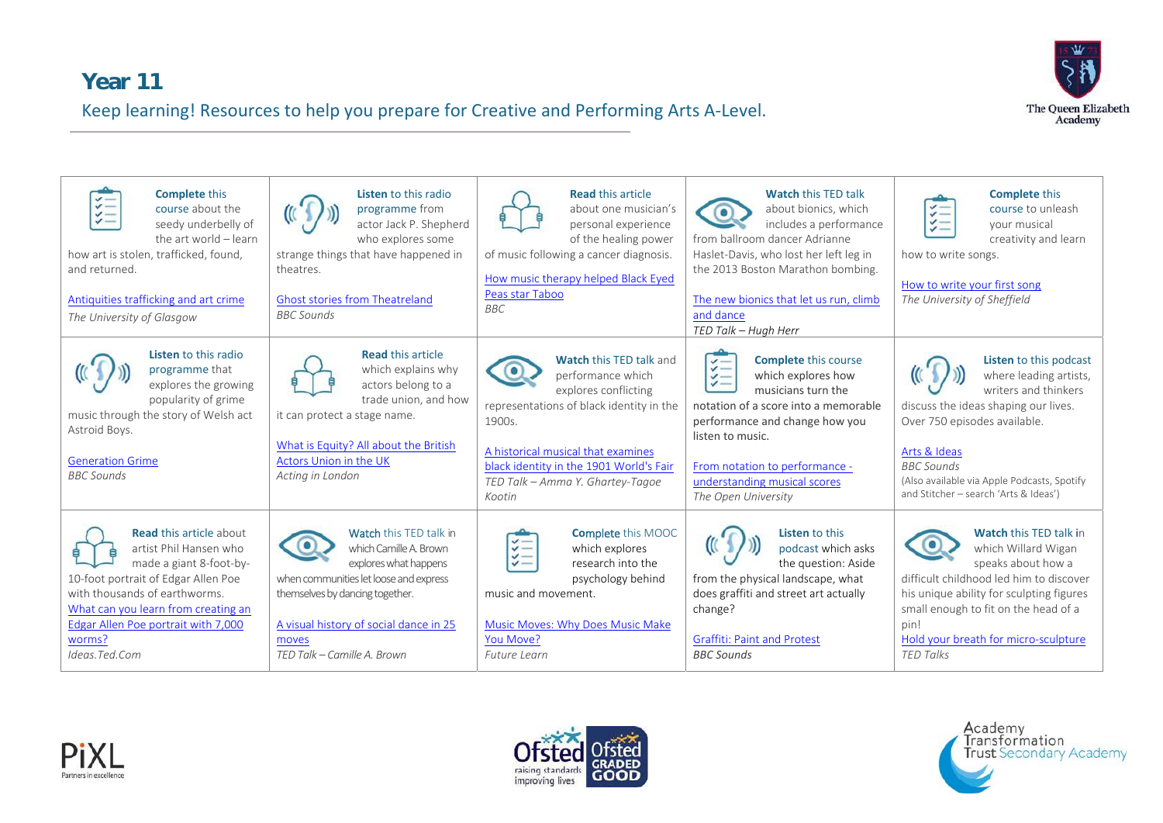## **Year 11**  Keep learning! Resources to help you prepare for Creative and Performing Arts A‐Level.



| <b>Complete</b> this<br>$\checkmark$ $-$<br>course about the<br>ジニ<br>seedy underbelly of<br>the art world - learn<br>how art is stolen, trafficked, found,<br>and returned.<br>Antiquities trafficking and art crime<br>The University of Glasgow                   | Listen to this radio<br>programme from<br>actor Jack P. Shepherd<br>who explores some<br>strange things that have happened in<br>theatres.<br><b>Ghost stories from Theatreland</b><br><b>BBC Sounds</b>                                 | <b>Read this article</b><br>about one musician's<br>personal experience<br>of the healing power<br>of music following a cancer diagnosis.<br>How music therapy helped Black Eyed<br>Peas star Taboo<br><b>BBC</b>                                                | <b>Watch this TED talk</b><br>about bionics, which<br>includes a performance<br>from ballroom dancer Adrianne<br>Haslet-Davis, who lost her left leg in<br>the 2013 Boston Marathon bombing.<br>The new bionics that let us run, climb<br>and dance<br>TED Talk - Hugh Herr                                                          | <b>Complete this</b><br>$\sharp =$<br>course to unleash<br>$\checkmark$<br>your musical<br>creativity and learn<br>how to write songs.<br>How to write your first song<br>The University of Sheffield                                                                         |
|----------------------------------------------------------------------------------------------------------------------------------------------------------------------------------------------------------------------------------------------------------------------|------------------------------------------------------------------------------------------------------------------------------------------------------------------------------------------------------------------------------------------|------------------------------------------------------------------------------------------------------------------------------------------------------------------------------------------------------------------------------------------------------------------|--------------------------------------------------------------------------------------------------------------------------------------------------------------------------------------------------------------------------------------------------------------------------------------------------------------------------------------|-------------------------------------------------------------------------------------------------------------------------------------------------------------------------------------------------------------------------------------------------------------------------------|
| <b>Listen</b> to this radio<br>programme that<br>explores the growing<br>popularity of grime<br>music through the story of Welsh act<br>Astroid Boys.<br><b>Generation Grime</b><br><b>BBC</b> Sounds                                                                | <b>Read this article</b><br>which explains why<br>actors belong to a<br>trade union, and how<br>it can protect a stage name.<br>What is Equity? All about the British<br>Actors Union in the UK<br>Acting in London                      | <b>Watch this TED talk and</b><br>performance which<br>explores conflicting<br>representations of black identity in the<br>1900s.<br>A historical musical that examines<br>black identity in the 1901 World's Fair<br>TED Talk - Amma Y. Ghartey-Tagoe<br>Kootin | <b>Complete this course</b><br>$\checkmark$ $-$<br>$\checkmark$<br>which explores how<br>$\checkmark$ —<br>$\checkmark$<br>musicians turn the<br>notation of a score into a memorable<br>performance and change how you<br>listen to music.<br>From notation to performance -<br>understanding musical scores<br>The Open University | Listen to this podcast<br>where leading artists,<br>writers and thinkers<br>discuss the ideas shaping our lives.<br>Over 750 episodes available.<br>Arts & Ideas<br><b>BBC</b> Sounds<br>(Also available via Apple Podcasts, Spotify<br>and Stitcher - search 'Arts & Ideas') |
| <b>Read this article about</b><br>artist Phil Hansen who<br>made a giant 8-foot-by-<br>10-foot portrait of Edgar Allen Poe<br>with thousands of earthworms.<br>What can you learn from creating an<br>Edgar Allen Poe portrait with 7,000<br>worms?<br>Ideas.Ted.Com | Watch this TED talk in<br>which Camille A. Brown<br>explores what happens<br>when communities let loose and express<br>themselves by dancing together.<br>A visual history of social dance in 25<br>moves<br>TED Talk - Camille A. Brown | <b>Complete</b> this MOOC<br>$\checkmark$ $-$<br>which explores<br>$\checkmark$<br>research into the<br>$\checkmark$ $-$<br>psychology behind<br>music and movement.<br>Music Moves: Why Does Music Make<br>You Move?<br>Future Learn                            | <b>Listen to this</b><br>podcast which asks<br>the question: Aside<br>from the physical landscape, what<br>does graffiti and street art actually<br>change?<br><b>Graffiti: Paint and Protest</b><br><b>BBC Sounds</b>                                                                                                               | <b>Watch this TED talk in</b><br>which Willard Wigan<br>speaks about how a<br>difficult childhood led him to discover<br>his unique ability for sculpting figures<br>small enough to fit on the head of a<br>pin!<br>Hold your breath for micro-sculpture<br><b>TED Talks</b> |





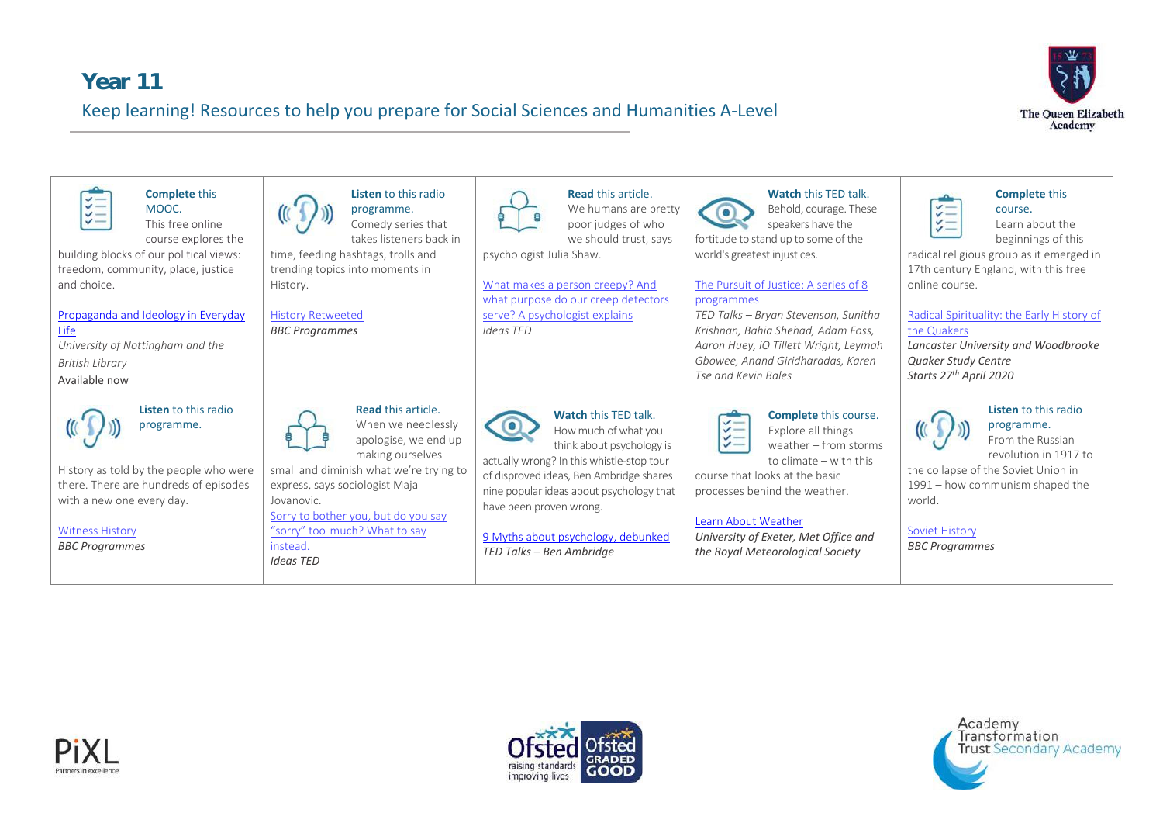# **Year 11**  Keep learning! Resources to help you prepare for Social Sciences and Humanities A‐Level



| <b>Complete this</b><br>$\checkmark$<br>$\checkmark$<br>MOOC.<br>$\checkmark$<br>$\checkmark$<br>This free online<br>course explores the<br>building blocks of our political views:<br>freedom, community, place, justice<br>and choice.<br>Propaganda and Ideology in Everyday<br>Life<br>University of Nottingham and the<br>British Library<br>Available now | <b>Listen</b> to this radio<br>programme.<br>Comedy series that<br>takes listeners back in<br>time, feeding hashtags, trolls and<br>trending topics into moments in<br>History.<br><b>History Retweeted</b><br><b>BBC Programmes</b>                                                    | <b>Read this article.</b><br>We humans are pretty<br>poor judges of who<br>we should trust, says<br>psychologist Julia Shaw.<br>What makes a person creepy? And<br>what purpose do our creep detectors<br>serve? A psychologist explains<br>Ideas TED                                                             | <b>Watch this TED talk.</b><br>Behold, courage. These<br>speakers have the<br>fortitude to stand up to some of the<br>world's greatest injustices.<br>The Pursuit of Justice: A series of 8<br>programmes<br>TED Talks - Bryan Stevenson, Sunitha<br>Krishnan, Bahia Shehad, Adam Foss,<br>Aaron Huey, iO Tillett Wright, Leymah<br>Gbowee, Anand Giridharadas, Karen<br>Tse and Kevin Bales | <b>Complete this</b><br>$\sharp \equiv$<br>course.<br>$\checkmark$ $-$<br>Learn about the<br>beginnings of this<br>radical religious group as it emerged in<br>17th century England, with this free<br>online course.<br>Radical Spirituality: the Early History of<br>the Quakers<br>Lancaster University and Woodbrooke<br><b>Quaker Study Centre</b><br>Starts 27 <sup>th</sup> April 2020 |
|-----------------------------------------------------------------------------------------------------------------------------------------------------------------------------------------------------------------------------------------------------------------------------------------------------------------------------------------------------------------|-----------------------------------------------------------------------------------------------------------------------------------------------------------------------------------------------------------------------------------------------------------------------------------------|-------------------------------------------------------------------------------------------------------------------------------------------------------------------------------------------------------------------------------------------------------------------------------------------------------------------|----------------------------------------------------------------------------------------------------------------------------------------------------------------------------------------------------------------------------------------------------------------------------------------------------------------------------------------------------------------------------------------------|-----------------------------------------------------------------------------------------------------------------------------------------------------------------------------------------------------------------------------------------------------------------------------------------------------------------------------------------------------------------------------------------------|
| <b>Listen</b> to this radio<br>programme.<br>History as told by the people who were<br>there. There are hundreds of episodes<br>with a new one every day.<br><b>Witness History</b><br><b>BBC Programmes</b>                                                                                                                                                    | <b>Read this article.</b><br>When we needlessly<br>apologise, we end up<br>making ourselves<br>small and diminish what we're trying to<br>express, says sociologist Maja<br>Jovanovic.<br>Sorry to bother you, but do you say<br>"sorry" too much? What to say<br>instead.<br>Ideas TED | <b>Watch this TED talk.</b><br>How much of what you<br>think about psychology is<br>actually wrong? In this whistle-stop tour<br>of disproved ideas, Ben Ambridge shares<br>nine popular ideas about psychology that<br>have been proven wrong.<br>9 Myths about psychology, debunked<br>TED Talks - Ben Ambridge | <b>Complete</b> this course.<br>$z =$<br>Explore all things<br>$\checkmark$<br>$\checkmark$<br>weather - from storms<br>to climate – with this<br>course that looks at the basic<br>processes behind the weather.<br>Learn About Weather<br>University of Exeter, Met Office and<br>the Royal Meteorological Society                                                                         | <b>Listen</b> to this radio<br>programme.<br>From the Russian<br>revolution in 1917 to<br>the collapse of the Soviet Union in<br>1991 – how communism shaped the<br>world.<br><b>Soviet History</b><br><b>BBC Programmes</b>                                                                                                                                                                  |





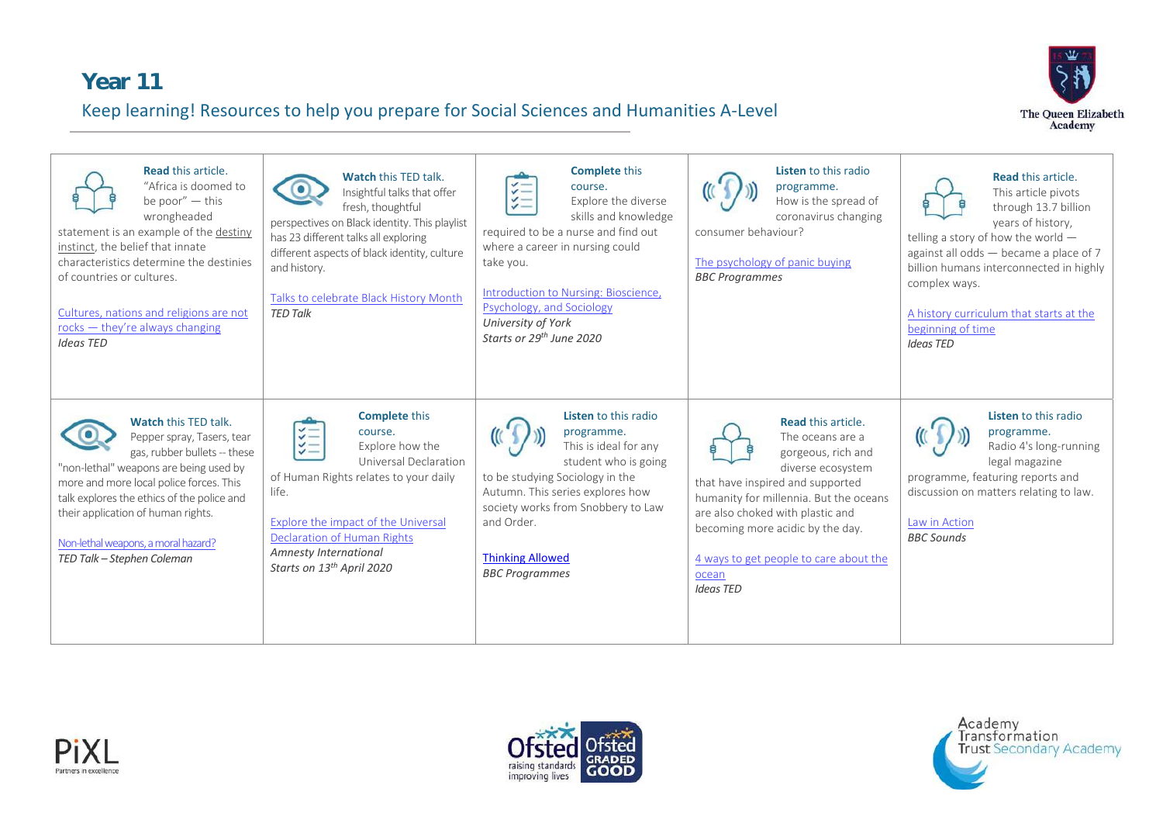# **Year 11**  Keep learning! Resources to help you prepare for Social Sciences and Humanities A‐Level



| <b>Read this article.</b><br>"Africa is doomed to<br>be poor" - this<br>wrongheaded<br>statement is an example of the destiny<br>instinct, the belief that innate<br>characteristics determine the destinies<br>of countries or cultures.<br>Cultures, nations and religions are not<br>rocks $-$ they're always changing<br><b>Ideas TED</b> | <b>Watch this TED talk.</b><br>Insightful talks that offer<br>fresh, thoughtful<br>perspectives on Black identity. This playlist<br>has 23 different talks all exploring<br>different aspects of black identity, culture<br>and history.<br>Talks to celebrate Black History Month<br><b>TED Talk</b>              | <b>Complete this</b><br>course.<br>$\checkmark$<br>$\sharp =$<br>Explore the diverse<br>skills and knowledge<br>required to be a nurse and find out<br>where a career in nursing could<br>take you.<br>Introduction to Nursing: Bioscience,<br>Psychology, and Sociology<br>University of York<br>Starts or 29 <sup>th</sup> June 2020 | Listen to this radio<br>programme.<br>How is the spread of<br>coronavirus changing<br>consumer behaviour?<br>The psychology of panic buying<br><b>BBC Programmes</b>                                                                                                                                                  | <b>Read this article.</b><br>This article pivots<br>through 13.7 billion<br>years of history,<br>telling a story of how the world $-$<br>against all odds - became a place of 7<br>billion humans interconnected in highly<br>complex ways.<br>A history curriculum that starts at the<br>beginning of time<br><b>Ideas TED</b> |
|-----------------------------------------------------------------------------------------------------------------------------------------------------------------------------------------------------------------------------------------------------------------------------------------------------------------------------------------------|--------------------------------------------------------------------------------------------------------------------------------------------------------------------------------------------------------------------------------------------------------------------------------------------------------------------|----------------------------------------------------------------------------------------------------------------------------------------------------------------------------------------------------------------------------------------------------------------------------------------------------------------------------------------|-----------------------------------------------------------------------------------------------------------------------------------------------------------------------------------------------------------------------------------------------------------------------------------------------------------------------|---------------------------------------------------------------------------------------------------------------------------------------------------------------------------------------------------------------------------------------------------------------------------------------------------------------------------------|
| <b>Watch this TED talk.</b><br>Pepper spray, Tasers, tear<br>gas, rubber bullets -- these<br>"non-lethal" weapons are being used by<br>more and more local police forces. This<br>talk explores the ethics of the police and<br>their application of human rights.<br>Non-lethal weapons, a moral hazard?<br>TED Talk - Stephen Coleman       | <b>Complete this</b><br>$\sharp =$<br>course.<br>$\frac{1}{2}$<br>Explore how the<br>Universal Declaration<br>of Human Rights relates to your daily<br>life.<br><b>Explore the impact of the Universal</b><br><b>Declaration of Human Rights</b><br>Amnesty International<br>Starts on 13 <sup>th</sup> April 2020 | <b>Listen</b> to this radio<br>programme.<br>This is ideal for any<br>student who is going<br>to be studying Sociology in the<br>Autumn. This series explores how<br>society works from Snobbery to Law<br>and Order.<br><b>Thinking Allowed</b><br><b>BBC</b> Programmes                                                              | <b>Read this article.</b><br>The oceans are a<br>gorgeous, rich and<br>diverse ecosystem<br>that have inspired and supported<br>humanity for millennia. But the oceans<br>are also choked with plastic and<br>becoming more acidic by the day.<br>4 ways to get people to care about the<br>ocean<br><b>Ideas TED</b> | Listen to this radio<br>programme.<br>Radio 4's long-running<br>legal magazine<br>programme, featuring reports and<br>discussion on matters relating to law.<br>Law in Action<br><b>BBC Sounds</b>                                                                                                                              |





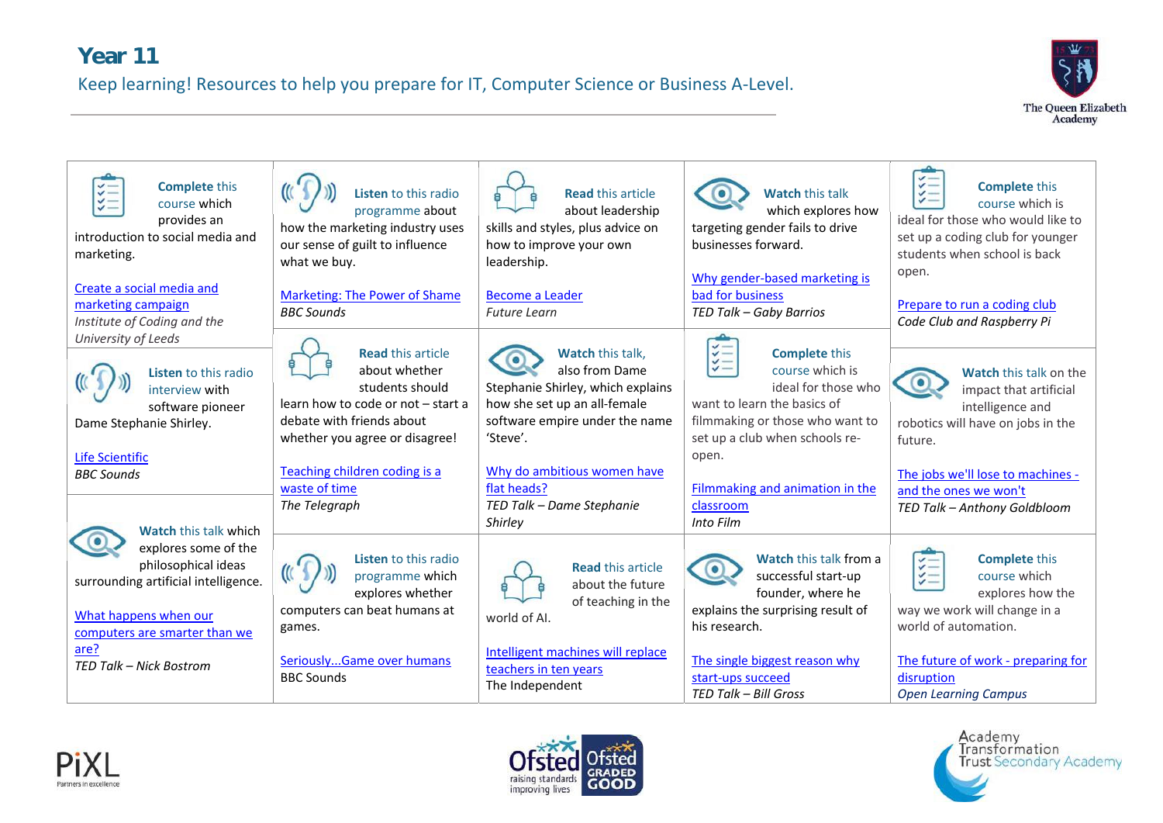#### **Year 11**

Keep learning! Resources to help you prepare for IT, Computer Science or Business A‐Level.



| $\checkmark$<br><b>Complete this</b><br>$\checkmark =$<br>course which<br>provides an<br>introduction to social media and<br>marketing.<br>Create a social media and<br>marketing campaign | Listen to this radio<br>programme about<br>how the marketing industry uses<br>our sense of guilt to influence<br>what we buy.<br><b>Marketing: The Power of Shame</b><br><b>BBC Sounds</b> | <b>Read this article</b><br>about leadership<br>skills and styles, plus advice on<br>how to improve your own<br>leadership.<br><b>Become a Leader</b><br><b>Future Learn</b> | <b>Watch this talk</b><br>which explores how<br>targeting gender fails to drive<br>businesses forward.<br>Why gender-based marketing is<br>bad for business<br>TED Talk - Gaby Barrios | $\checkmark$<br><b>Complete this</b><br>$\check{z}$ $=$<br>course which is<br>ideal for those who would like to<br>set up a coding club for younger<br>students when school is back<br>open.<br>Prepare to run a coding club |
|--------------------------------------------------------------------------------------------------------------------------------------------------------------------------------------------|--------------------------------------------------------------------------------------------------------------------------------------------------------------------------------------------|------------------------------------------------------------------------------------------------------------------------------------------------------------------------------|----------------------------------------------------------------------------------------------------------------------------------------------------------------------------------------|------------------------------------------------------------------------------------------------------------------------------------------------------------------------------------------------------------------------------|
| Institute of Coding and the<br>University of Leeds                                                                                                                                         | <b>Read this article</b>                                                                                                                                                                   | <b>Watch this talk.</b>                                                                                                                                                      | <b>Complete this</b><br>$\checkmark$                                                                                                                                                   | Code Club and Raspberry Pi                                                                                                                                                                                                   |
| Listen to this radio<br>interview with<br>software pioneer<br>Dame Stephanie Shirley.                                                                                                      | about whether<br>students should<br>learn how to code or not - start a<br>debate with friends about                                                                                        | also from Dame<br>Stephanie Shirley, which explains<br>how she set up an all-female<br>software empire under the name                                                        | $\checkmark$<br>$\checkmark$ —<br>course which is<br>ideal for those who<br>want to learn the basics of<br>filmmaking or those who want to                                             | Watch this talk on the<br>impact that artificial<br>intelligence and<br>robotics will have on jobs in the                                                                                                                    |
| <b>Life Scientific</b>                                                                                                                                                                     | whether you agree or disagree!                                                                                                                                                             | 'Steve'.                                                                                                                                                                     | set up a club when schools re-<br>open.                                                                                                                                                | future.                                                                                                                                                                                                                      |
| <b>BBC Sounds</b>                                                                                                                                                                          | Teaching children coding is a<br>waste of time<br>The Telegraph                                                                                                                            | Why do ambitious women have<br>flat heads?                                                                                                                                   | Filmmaking and animation in the                                                                                                                                                        | The jobs we'll lose to machines -<br>and the ones we won't                                                                                                                                                                   |
| <b>Watch this talk which</b>                                                                                                                                                               |                                                                                                                                                                                            | TED Talk - Dame Stephanie<br>Shirley                                                                                                                                         | classroom<br>Into Film                                                                                                                                                                 | TED Talk - Anthony Goldbloom                                                                                                                                                                                                 |
| explores some of the<br>philosophical ideas<br>surrounding artificial intelligence.<br>What happens when our<br>computers are smarter than we                                              | Listen to this radio<br>programme which<br>explores whether<br>computers can beat humans at<br>games.                                                                                      | <b>Read this article</b><br>about the future<br>of teaching in the<br>world of AI.                                                                                           | <b>Watch this talk from a</b><br>successful start-up<br>founder, where he<br>explains the surprising result of<br>his research.                                                        | <b>Complete this</b><br>NIII<br>course which<br>explores how the<br>way we work will change in a<br>world of automation.                                                                                                     |
| are?<br>TED Talk - Nick Bostrom                                                                                                                                                            | SeriouslyGame over humans<br><b>BBC Sounds</b>                                                                                                                                             | Intelligent machines will replace<br>teachers in ten years<br>The Independent                                                                                                | The single biggest reason why<br>start-ups succeed<br>TED Talk - Bill Gross                                                                                                            | The future of work - preparing for<br>disruption<br><b>Open Learning Campus</b>                                                                                                                                              |